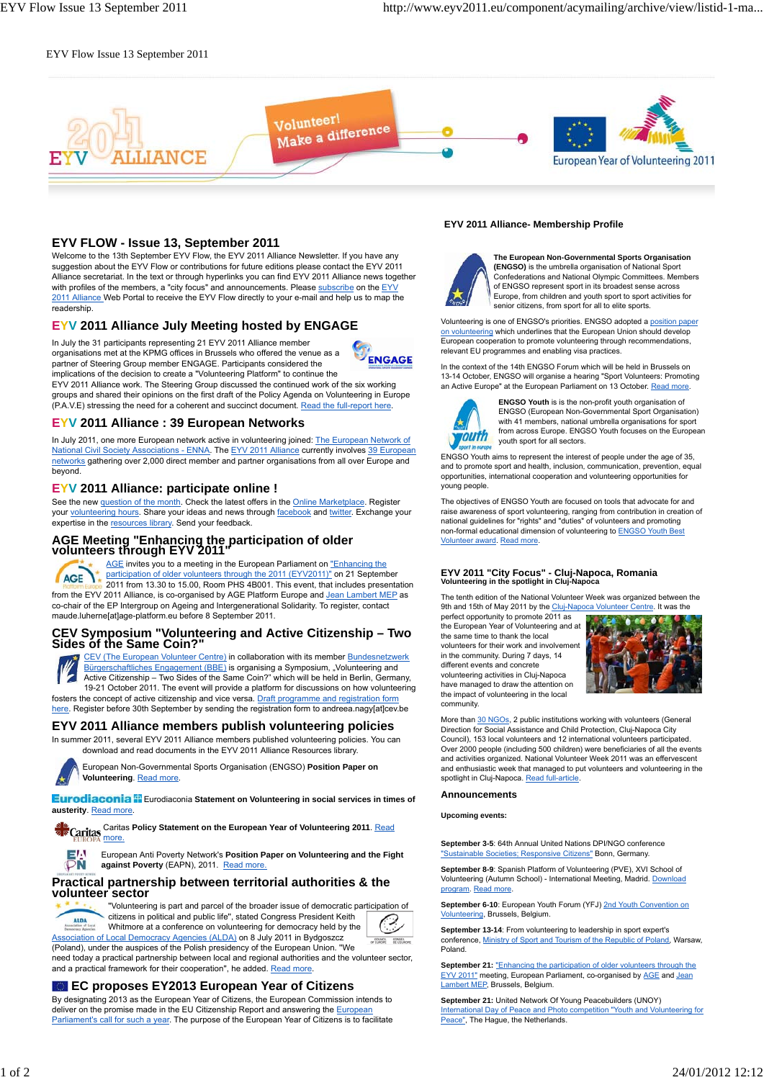## EYV Flow Issue 13 September 2011



## **EYV FLOW - Issue 13, September 2011**

Welcome to the 13th September EYV Flow, the EYV 2011 Alliance Newsletter. If you have any suggestion about the EYV Flow or contributions for future editions please contact the EYV 2011 Alliance secretariat. In the text or through hyperlinks you can find EYV 2011 Alliance news together with profiles of the members, a "city focus" and announcements. Please subscribe on the EYV 2011 Alliance Web Portal to receive the EYV Flow directly to your e-mail and help us to map the readership.

## **EYV 2011 Alliance July Meeting hosted by ENGAGE**

In July the 31 participants representing 21 EYV 2011 Alliance member organisations met at the KPMG offices in Brussels who offered the venue as a **ENGAGE** partner of Steering Group member ENGAGE. Participants considered the implications of the decision to create a "Volunteering Platform" to continue the

EYV 2011 Alliance work. The Steering Group discussed the continued work of the six working groups and shared their opinions on the first draft of the Policy Agenda on Volunteering in Europe (P.A.V.E) stressing the need for a coherent and succinct document. Read the full-report here.

### **EYV 2011 Alliance : 39 European Networks**

In July 2011, one more European network active in volunteering joined: The European Network of National Civil Society Associations - ENNA. The EYV 2011 Alliance currently involves 39 European networks gathering over 2,000 direct member and partner organisations from all over Europe and beyond.

## **EYV 2011 Alliance: participate online !**

See the new question of the month. Check the latest offers in the Online Marketplace. Register your volunteering hours. Share your ideas and news through facebook and twitter. Exchange your expertise in the resources library. Send your feedback.

## **AGE Meeting "Enhancing the participation of older volunteers through EYV 2011"**

AGE invites you to a meeting in the European Parliament on "Enhancing the participation of older volunteers through the 2011 (EYV2011)" on 21 September **AGE** 2011 from 13.30 to 15.00, Room PHS 4B001. This event, that includes presentation from the EYV 2011 Alliance, is co-organised by AGE Platform Europe and Jean Lambert MEP as co-chair of the EP Intergroup on Ageing and Intergenerational Solidarity. To register, contact maude.luherne[at]age-platform.eu before 8 September 2011.

## **CEV Symposium "Volunteering and Active Citizenship – Two Sides of the Same Coin?"**



CEV (The European Volunteer Centre) in collaboration with its member Bundesnetzwerk Bürgerschaftliches Engagement (BBE) is organising a Symposium, "Volunteering and Active Citizenship – Two Sides of the Same Coin?" which will be held in Berlin, Germany, 19-21 October 2011. The event will provide a platform for discussions on how volunteering

fosters the concept of active citizenship and vice versa. Draft programme and registration form here. Register before 30th September by sending the registration form to andreea.nagy[at]cev.be

## **EYV 2011 Alliance members publish volunteering policies**

In summer 2011, several EYV 2011 Alliance members published volunteering policies. You can download and read documents in the EYV 2011 Alliance Resources library.



European Non-Governmental Sports Organisation (ENGSO) **Position Paper on Volunteering.** Read more.

**Eurodiaconia <sup>F</sup> Eurodiaconia Statement on Volunteering in social services in times of** austerity. Read more

Caritas **Policy Statement on the European Year of Volunteering 2011**. Read more.

> European Anti Poverty Network's **Position Paper on Volunteering and the Fight** against Poverty (EAPN), 2011. Read more.

## **Practical partnership between territorial authorities & the volunteer sector**



PN

''Volunteering is part and parcel of the broader issue of democratic participation of citizens in political and public life'', stated Congress President Keith Whitmore at a conference on volunteering for democracy held by the



(Poland), under the auspices of the Polish presidency of the European Union. ''We need today a practical partnership between local and regional authorities and the volunteer sector, and a practical framework for their cooperation'', he added. Read more.

## **EC proposes EY2013 European Year of Citizens**

Association of Local Democracy Agencies (ALDA) on 8 July 2011 in Bydgoszcz

By designating 2013 as the European Year of Citizens, the European Commission intends to deliver on the promise made in the EU Citizenship Report and answering the European Parliament's call for such a year. The purpose of the European Year of Citizens is to facilitate

#### **EYV 2011 Alliance- Membership Profile**



**The European Non-Governmental Sports Organisation (ENGSO)** is the umbrella organisation of National Sport Confederations and National Olympic Committees. Meml of ENGSO represent sport in its broadest sense across Europe, from children and youth sport to sport activities for senior citizens, from sport for all to elite sports.

Volunteering is one of ENGSO's priorities. ENGSO adopted a position paper on volunteering which underlines that the European Union should develop European cooperation to promote volunteering through recommendations, relevant EU programmes and enabling visa practices.

In the context of the 14th ENGSO Forum which will be held in Brussels on 13-14 October, ENGSO will organise a hearing "Sport Volunteers: Promoting<br>an Active Europe" at the European Parliament on 13 October. Read more.



**ENGSO Youth** is is the non-profit youth organisation of ENGSO (European Non-Governmental Sport Organisation) with 41 members, national umbrella organisations for sport from across Europe. ENGSO Youth focuses on the European youth sport for all sectors.

ENGSO Youth aims to represent the interest of people under the age of 35, and to promote sport and health, inclusion, communication, prevention, equal opportunities, international cooperation and volunteering opportunities for young people.

The objectives of ENGSO Youth are focused on tools that advocate for and raise awareness of sport volunteering, ranging from contribution in creation of national guidelines for "rights" and "duties" of volunteers and promoting non-formal educational dimension of volunteering to ENGSO Youth Best Volunteer award. Read more.

## **EYV 2011 "City Focus" - Cluj-Napoca, Romania Volunteering in the spotlight in Cluj-Napoca**

The tenth edition of the National Volunteer Week was organized between the 9th and 15th of May 2011 by the Cluj-Napoca Volunteer Centre. It was the

perfect opportunity to promote 2011 as the European Year of Volunteering and at the same time to thank the local volunteers for their work and involvement in the community. During 7 days, 14 different events and concrete volunteering activities in Cluj-Napoca have managed to draw the attention on the impact of volunteering in the local community.



More than 30 NGOs, 2 public institutions working with volunteers (General Direction for Social Assistance and Child Protection, Cluj-Napoca City Council), 153 local volunteers and 12 international volunteers participated. Over 2000 people (including 500 children) were beneficiaries of all the events and activities organized. National Volunteer Week 2011 was an effervescent and enthusiastic week that managed to put volunteers and volunteering in the spotlight in Cluj-Napoca. Read full-article.

#### **Announcements**

**Upcoming events:**

**September 3-5**: 64th Annual United Nations DPI/NGO conference "Sustainable Societies; Responsive Citizens" Bonn, Germany.

**September 8-9**: Spanish Platform of Volunteering (PVE), XVI School of Volunteering (Autumn School) - International Meeting, Madrid. Download program. Read more.

**September 6-10:** European Youth Forum (YFJ) 2nd Youth Convention on Volunteering, Brussels, Belgium.

**September 13-14**: From volunteering to leadership in sport expert's conference, Ministry of Sport and Tourism of the Republic of Poland, Warsaw, Poland.

**September 21:** "Enhancing the participation of older volunteers through the EYV 2011" meeting, European Parliament, co-organised by AGE and Jean Lambert MEP, Brussels, Belgium.

**September 21:** United Network Of Young Peacebuilders (UNOY) International Day of Peace and Photo competition "Youth and Volunteering for<br>Peace", The Hague, the Netherlands.